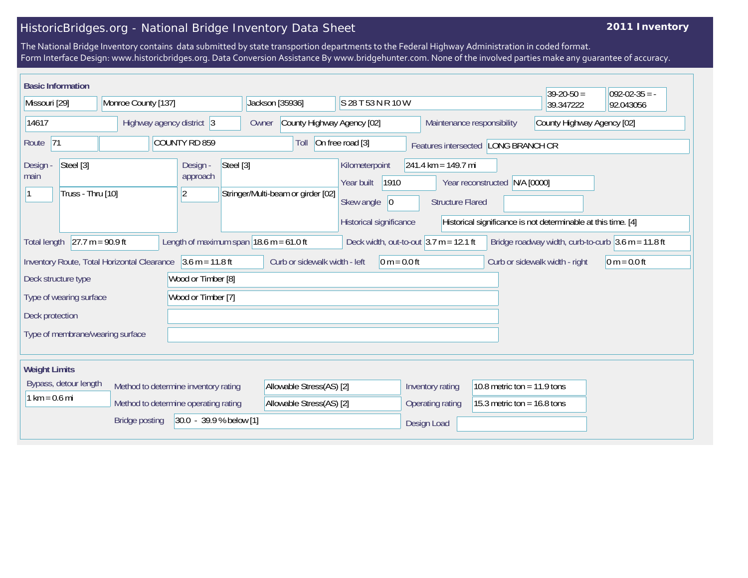## HistoricBridges.org - National Bridge Inventory Data Sheet

## **2011 Inventory**

The National Bridge Inventory contains data submitted by state transportion departments to the Federal Highway Administration in coded format. Form Interface Design: www.historicbridges.org. Data Conversion Assistance By www.bridgehunter.com. None of the involved parties make any guarantee of accuracy.

| <b>Basic Information</b><br>$39-20-50 =$<br>$ 092-02-35 = -$                                             |  |                           |                                                  |                                                                                                                                                                                                                              |                                    |                                     |                                            |                    |                                                                                    |                                |                                                          |                               |  |  |
|----------------------------------------------------------------------------------------------------------|--|---------------------------|--------------------------------------------------|------------------------------------------------------------------------------------------------------------------------------------------------------------------------------------------------------------------------------|------------------------------------|-------------------------------------|--------------------------------------------|--------------------|------------------------------------------------------------------------------------|--------------------------------|----------------------------------------------------------|-------------------------------|--|--|
| Missouri [29]                                                                                            |  | Monroe County [137]       |                                                  |                                                                                                                                                                                                                              |                                    | Jackson [35936]                     |                                            | S 28 T 53 N R 10 W |                                                                                    |                                | 39.347222                                                | 92.043056                     |  |  |
| 14617                                                                                                    |  | Highway agency district 3 |                                                  |                                                                                                                                                                                                                              |                                    | County Highway Agency [02]<br>Owner |                                            |                    |                                                                                    |                                | County Highway Agency [02]<br>Maintenance responsibility |                               |  |  |
| 71<br>COUNTY RD 859<br>Route                                                                             |  |                           |                                                  | On free road [3]<br>Toll<br>Features intersected LONG BRANCH CR                                                                                                                                                              |                                    |                                     |                                            |                    |                                                                                    |                                |                                                          |                               |  |  |
| Steel [3]<br>Design -<br>main<br>Truss - Thru [10]                                                       |  |                           | Steel [3]<br>Design -<br>approach<br>$ 2\rangle$ |                                                                                                                                                                                                                              | Stringer/Multi-beam or girder [02] |                                     | Kilometerpoint<br>Year built<br>Skew angle | 1910<br> 0         | 241.4 km = 149.7 mi<br>N/A [0000]<br>Year reconstructed<br><b>Structure Flared</b> |                                |                                                          |                               |  |  |
| $27.7 m = 90.9 ft$<br>Length of maximum span $ 18.6 \text{ m} = 61.0 \text{ ft} $<br><b>Total length</b> |  |                           |                                                  | Historical significance<br>Historical significance is not determinable at this time. [4]<br>Deck width, out-to-out $3.7 \text{ m} = 12.1 \text{ ft}$<br>Bridge roadway width, curb-to-curb $3.6 \text{ m} = 11.8 \text{ ft}$ |                                    |                                     |                                            |                    |                                                                                    |                                |                                                          |                               |  |  |
| Inventory Route, Total Horizontal Clearance 3.6 m = 11.8 ft                                              |  |                           |                                                  | Curb or sidewalk width - left<br>$0 m = 0.0 ft$                                                                                                                                                                              |                                    |                                     |                                            |                    |                                                                                    | Curb or sidewalk width - right | $ 0 m = 0.0 ft$                                          |                               |  |  |
| Wood or Timber [8]<br>Deck structure type                                                                |  |                           |                                                  |                                                                                                                                                                                                                              |                                    |                                     |                                            |                    |                                                                                    |                                |                                                          |                               |  |  |
| Type of wearing surface                                                                                  |  |                           | Wood or Timber [7]                               |                                                                                                                                                                                                                              |                                    |                                     |                                            |                    |                                                                                    |                                |                                                          |                               |  |  |
| Deck protection                                                                                          |  |                           |                                                  |                                                                                                                                                                                                                              |                                    |                                     |                                            |                    |                                                                                    |                                |                                                          |                               |  |  |
| Type of membrane/wearing surface                                                                         |  |                           |                                                  |                                                                                                                                                                                                                              |                                    |                                     |                                            |                    |                                                                                    |                                |                                                          |                               |  |  |
| <b>Weight Limits</b>                                                                                     |  |                           |                                                  |                                                                                                                                                                                                                              |                                    |                                     |                                            |                    |                                                                                    |                                |                                                          |                               |  |  |
| Bypass, detour length<br>Method to determine inventory rating                                            |  |                           |                                                  |                                                                                                                                                                                                                              | Allowable Stress(AS) [2]           |                                     |                                            |                    | Inventory rating                                                                   |                                | 10.8 metric ton = $11.9$ tons                            |                               |  |  |
| $1 km = 0.6 mi$                                                                                          |  |                           |                                                  | Method to determine operating rating                                                                                                                                                                                         |                                    | Allowable Stress(AS) [2]            |                                            |                    |                                                                                    | Operating rating               |                                                          | 15.3 metric ton = $16.8$ tons |  |  |
| 30.0 - 39.9 % below [1]<br><b>Bridge posting</b>                                                         |  |                           |                                                  |                                                                                                                                                                                                                              |                                    |                                     |                                            | Design Load        |                                                                                    |                                |                                                          |                               |  |  |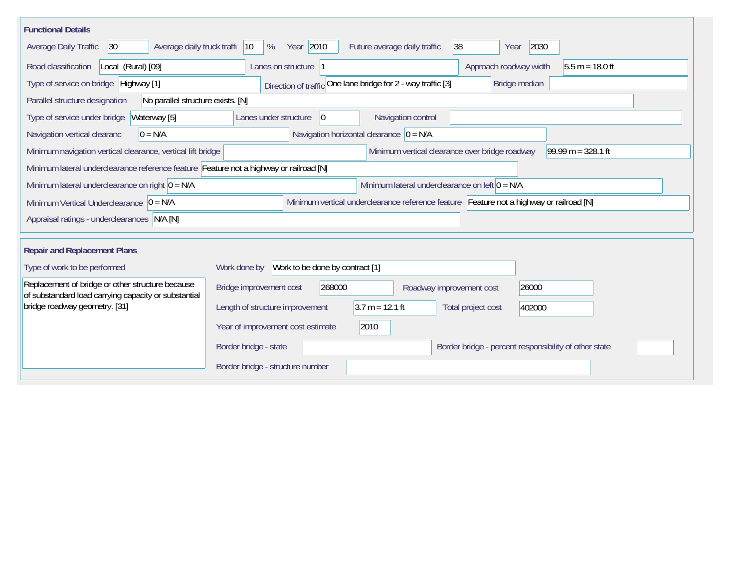| <b>Functional Details</b>                                                                                                             |                                                                                        |  |  |  |  |  |  |
|---------------------------------------------------------------------------------------------------------------------------------------|----------------------------------------------------------------------------------------|--|--|--|--|--|--|
| Average daily truck traffi<br>Average Daily Traffic<br> 30                                                                            | Year 2010<br>2030<br>Future average daily traffic<br> 38 <br>$ 10\rangle$<br>%<br>Year |  |  |  |  |  |  |
| Road classification<br>Local (Rural) [09]                                                                                             | Approach roadway width<br>$5.5 m = 18.0 ft$<br>Lanes on structure 1                    |  |  |  |  |  |  |
| Type of service on bridge Highway [1]                                                                                                 | Direction of traffic One lane bridge for 2 - way traffic [3]<br>Bridge median          |  |  |  |  |  |  |
| No parallel structure exists. [N]<br>Parallel structure designation                                                                   |                                                                                        |  |  |  |  |  |  |
| Waterway [5]<br>Type of service under bridge                                                                                          | 0 <br>Navigation control<br>Lanes under structure                                      |  |  |  |  |  |  |
| Navigation vertical clearanc<br>$0 = N/A$                                                                                             | Navigation horizontal clearance $ 0 = N/A$                                             |  |  |  |  |  |  |
| Minimum vertical clearance over bridge roadway<br>99.99 m = $328.1$ ft<br>Minimum navigation vertical clearance, vertical lift bridge |                                                                                        |  |  |  |  |  |  |
|                                                                                                                                       | Minimum lateral underclearance reference feature Feature not a highway or railroad [N] |  |  |  |  |  |  |
| Minimum lateral underclearance on left $0 = N/A$<br>Minimum lateral underclearance on right $ 0 = N/A$                                |                                                                                        |  |  |  |  |  |  |
| Minimum vertical underclearance reference feature Feature not a highway or railroad [N]<br>Minimum Vertical Underclearance $ 0 = N/A$ |                                                                                        |  |  |  |  |  |  |
| Appraisal ratings - underclearances N/A [N]                                                                                           |                                                                                        |  |  |  |  |  |  |
|                                                                                                                                       |                                                                                        |  |  |  |  |  |  |
| <b>Repair and Replacement Plans</b>                                                                                                   |                                                                                        |  |  |  |  |  |  |
| Type of work to be performed                                                                                                          | Work to be done by contract [1]<br>Work done by                                        |  |  |  |  |  |  |
| Replacement of bridge or other structure because<br>of substandard load carrying capacity or substantial                              | 268000<br>Bridge improvement cost<br>26000<br>Roadway improvement cost                 |  |  |  |  |  |  |
| bridge roadway geometry. [31]                                                                                                         | $3.7 m = 12.1 ft$<br>Length of structure improvement<br>Total project cost<br>402000   |  |  |  |  |  |  |
|                                                                                                                                       | 2010<br>Year of improvement cost estimate                                              |  |  |  |  |  |  |
|                                                                                                                                       | Border bridge - state<br>Border bridge - percent responsibility of other state         |  |  |  |  |  |  |
|                                                                                                                                       | Border bridge - structure number                                                       |  |  |  |  |  |  |